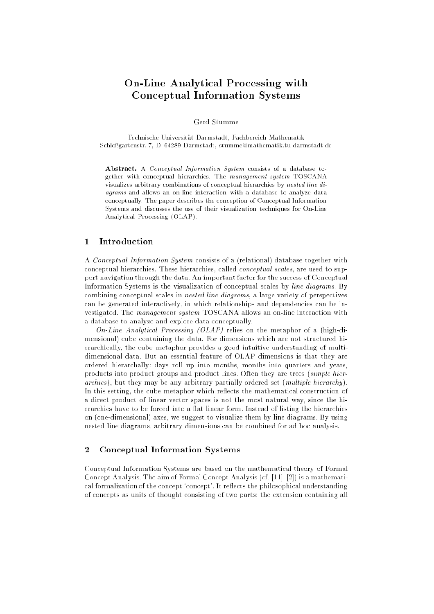# On-Line Analytical Processing with Conceptual Information Systems

Gerd Stumme

Technische Universitat Darmstadt, Fachbereich Mathematik Schloßgartenstr. 7, D-64289 Darmstadt, stumme@mathematik.tu-darmstadt.de

Abstract. A Conceptual Information System consists of a database together with conceptual hierarchies. The management system TOSCANA visualizes arbitrary combinations of conceptual hierarchies by nested line diagrams and allows an on-line interaction with a database to analyze data conceptually. The paper describes the conception of Conceptual Information Systems and discusses the use of their visualization techniques for On-Line Analytical Processing (OLAP).

## 1 Introduction

A Conceptual Information System consists of a (relational) database together with conceptual hierarchies. These hierarchies, called conceptual scales, are used to support navigation through the data. An important factor for the success of Conceptual Information Systems is the visualization of conceptual scales by line diagrams. By combining conceptual scales in nested line diagrams, a large variety of perspectives can be generated interactively, in which relationships and dependencies can be investigated. The management system TOSCANA allows an on-line interaction with a database to analyze and explore data conceptually.

On-Line Analytical Processing  $(OLAP)$  relies on the metaphor of a (high-dimensional) cube containing the data. For dimensions which are not structured hierarchically, the cube metaphor provides a good intuitive understanding of multidimensional data. But an essential feature of OLAP dimensions is that they are ordered hierarchally: days roll up into months, months into quarters and years, products into product groups and product lines. Often they are trees (simple hierarchies), but they may be any arbitrary partially ordered set  $(multiple hierarchy)$ . In this setting, the cube metaphor which reflects the mathematical construction of a direct product of linear vector spaces is not the most natural way, since the hierarchies have to be forced into a flat linear form. Instead of listing the hierarchies on (one-dimensional) axes, we suggest to visualize them by line diagrams. By using nested line diagrams, arbitrary dimensions can be combined for ad hoc analysis.

# 2 Conceptual Information Systems

Conceptual Information Systems are based on the mathematical theory of Formal Concept Analysis. The aim of Formal Concept Analysis (cf. [11], [2]) is a mathematical formalization of the concept 'concept'. It reflects the philosophical understanding of concepts as units of thought consisting of two parts: the extension containing all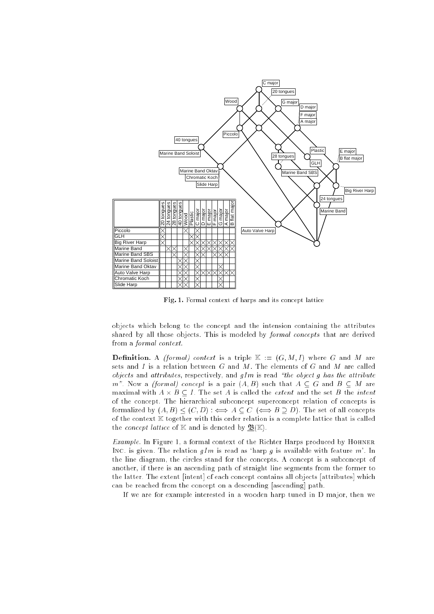

Fig. 1. Formal context of harps and its concept lattice

objects which belong to the concept and the intension containing the attributes shared by all those objects. This is modeled by formal concepts that are derived from a formal context.

 $\blacksquare$  context is (formal) context is a triple K := (G;(i)  $\blacksquare$  . When  $\blacksquare$  are  $\blacksquare$ sets and I is a relation between  $G$  and  $M$ . The elements of  $G$  and  $M$  are called objects and attributes, respectively, and  $gIm$  is read "the object g has the attribute m". Now a *(formal)* concept is a pair  $(A, B)$  such that  $A \subseteq G$  and  $B \subseteq M$  are of the concept. The hierarchical subconcept-superconcept-relation of concepts is formalized by  $(A, B) \leq (C, D) : \iff A \subseteq C \iff B \supseteq D$ . The set of all concepts of the context  $\mathbb K$  together with this order relation is a complete lattice that is called the *concept lattice* of  $K$  and is denoted by  $\underline{\mathfrak{B}}(\mathbb{K})$ .

Example. In Figure 1, a formal context of the Richter Harps produced by Hohner Inc. is given. The relation  $qIm$  is read as 'harp q is available with feature m'. In the line diagram, the circles stand for the concepts. A concept is a subconcept of another, if there is an ascending path of straight line segments from the former to the latter. The extent [intent] of each concept contains all objects [attributes] which can be reached from the concept on a descending [ascending] path.

If we are for example interested in a wooden harp tuned in D major, then we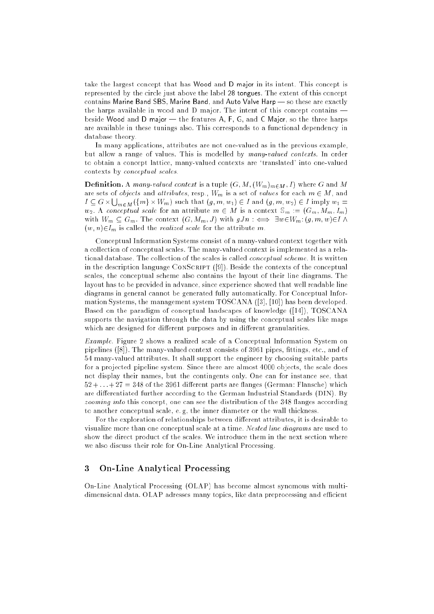take the largest concept that has Wood and D major in its intent. This concept is represented by the circle just above the label 28 tongues. The extent of this concept contains Marine Band SBS, Marine Band, and Auto Valve Harp - so these are exactly the harps available in wood and  $D$  major. The intent of this concept contains  $$ beside Wood and D major  $-$  the features A, F, G, and C Major, so the three harps are available in these tunings also. This corresponds to a functional dependency in database theory.

In many applications, attributes are not one-valued as in the previous example, but allow a range of values. This is modelled by many-valued contexts. In order to obtain a concept lattice, many-valued contexts are `translated' into one-valued contexts by conceptual scales.

 $\blacksquare$  -------------  $\blacksquare$  . A many-valued context is a tuple (G; M; (M; M; (M; (M; (M; I)  $\blacksquare$  ) where  $\blacksquare$ are sets of *objects* and *attributes*, resp.,  $W_m$  is a set of *values* for each  $m \in M$ , and  $I \subseteq G \times \bigcup_{m \in M} (\{m\} \times W_m)$  such that  $(g, m, w_1) \in I$  and  $(g, m, w_2) \in I$  imply  $w_1 =$  $w_2$ . A conceptual scale for an attribute  $m \in M$  is a context  $\mathbb{S}_m := (G_m, M_m, I_m)$ with  $W_m \subseteq G_m$ . The context  $(G, M_m, J)$  with  $gJn : \iff \exists w \in W_m: (g, m, w) \in I \land \exists w \in W_m$  $(w, n) \in I_m$  is called the *realized scale* for the attribute m.

Conceptual Information Systems consist of a many-valued context together with a collection of conceptual scales. The many-valued context is implemented as a relational database. The collection of the scales is called conceptual scheme. It is written in the description language CONSCRIPT ([9]). Beside the contexts of the conceptual scales, the conceptual scheme also contains the layout of their line diagrams. The layout has to be provided in advance, since experience showed that well readable line diagrams in general cannot be generated fully automatically. For Conceptual Information Systems, the management system TOSCANA ([3], [10]) has been developed. Based on the paradigm of conceptual landscapes of knowledge ([14]), TOSCANA supports the navigation through the data by using the conceptual scales like maps which are designed for different purposes and in different granularities.

Example. Figure 2 shows a realized scale of a Conceptual Information System on pipelines  $([8])$ . The many-valued context consists of 3961 pipes, fittings, etc., and of 54 many-valued attributes. It shall support the engineer by choosing suitable parts for a projected pipeline system. Since there are almost 4000 objects, the scale does not display their names, but the contingents only. One can for instance see, that  $52 + \ldots + 27 = 348$  of the 3961 different parts are flanges (German: Flansche) which are differentiated further according to the German Industrial Standards (DIN). By  $zooming$  into this concept, one can see the distribution of the 348 flanges according to another conceptual scale, e. g, the inner diameter or the wall thickness.

For the exploration of relationships between different attributes, it is desirable to visualize more than one conceptual scale at a time. Nested line diagrams are used to show the direct product of the scales. We introduce them in the next section where we also discuss their role for On-Line Analytical Processing.

### 3 On-Line Analytical Processing

On-Line Analytical Processing (OLAP) has become almost synomous with multidimensional data. OLAP adresses many topics, like data preprocessing and efficient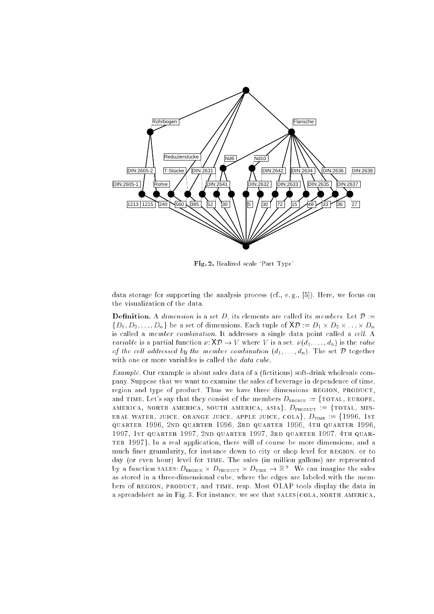

Fig. 2. Realized scale `Part Type'

data storage for supporting the analysis process  $(cf., e.g., [5])$ . Here, we focus on the visualization of the data.

Denition. A dimension is a set D, its elements are called its members. Let <sup>D</sup> :=  $f\equiv 1$ ;  $f\equiv 2$  ;  $f\equiv 1$ ;  $f\equiv 0$  ;  $f\equiv 0$  :=  $f\equiv 0$  :=  $f\equiv 0$ is called a member combination. It addresses a single data point called a cell. A variable is a partial function  $\nu: \mathsf{X}\mathcal{D} \to V$  where V is a set.  $\nu(d_1, \ldots, d_n)$  is the value of the cell addressed by the member combination  $(d_1, \ldots, d_n)$ . The set  $\mathcal D$  together with one or more variables is called the *data cube*.

 $Example$ . Our example is about sales data of a (fictitious) soft-drink wholesale company. Suppose that we want to examine the sales of beverage in dependence of time, region and type of product. Thus we have three dimensions: REGION, PRODUCT, and time. Let's say that they consist of the members  $D_{\text{REGION}} := \{ \text{total}, \text{ EUROPE}, \}$ america, north america, south america, asiag, Dproduct := ftotal, mineral waters, juice, apple juice, apple juice, colag, Dtime := f1996, 1st in the state, apple := f quarter 1996, 2nd quarter 1996, 3rd quarter 1996, 4th quarter 1996, 1997, 1st quarter 1997, 2nd quarter 1997, 3rd quarter 1997, 4th quarterm there is a real application, there will of course be more dimensions, and an much finer granularity, for instance down to city or shop level for REGION, or to day (or even hour) level for time. The sales (in million gallons) are represented by a function sales:  $D_{\text{REGION}} \times D_{\text{PRODUT}} \times D_{\text{TIME}} \rightarrow \mathbb{R}^+$ . We can imagine the sales as stored in a three-dimensional cube, where the edges are labeled with the members of REGION, PRODUCT, and TIME, resp. Most OLAP tools display the data in a spreadsheet as in Fig. 3. For instance, we see that  $SALES(COLA, NORTH, AMERICA,$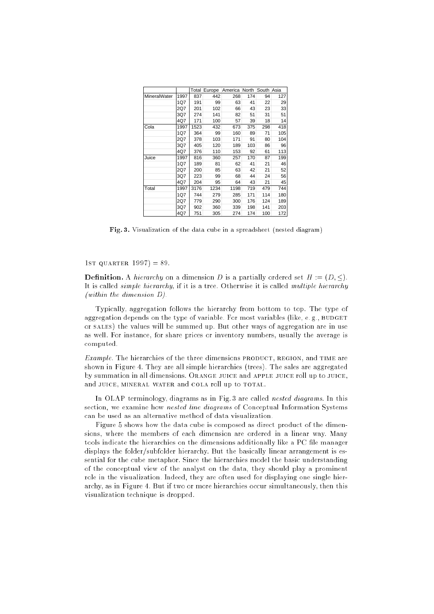|              |      | Total | Europe | America | North | South | Asia |
|--------------|------|-------|--------|---------|-------|-------|------|
| MineralWater | 1997 | 837   | 442    | 268     | 174   | 94    | 127  |
|              | 1Q7  | 191   | 99     | 63      | 41    | 22    | 29   |
|              | 2Q7  | 201   | 102    | 66      | 43    | 23    | 33   |
|              | 3Q7  | 274   | 141    | 82      | 51    | 31    | 51   |
|              | 4Q7  | 171   | 100    | 57      | 39    | 18    | 14   |
| Cola         | 1997 | 1523  | 432    | 673     | 375   | 298   | 418  |
|              | 1Q7  | 364   | 99     | 160     | 89    | 71    | 105  |
|              | 2Q7  | 378   | 103    | 171     | 91    | 80    | 104  |
|              | 3Q7  | 405   | 120    | 189     | 103   | 86    | 96   |
|              | 4Q7  | 376   | 110    | 153     | 92    | 61    | 113  |
| Juice        | 1997 | 816   | 360    | 257     | 170   | 87    | 199  |
|              | 1Q7  | 189   | 81     | 62      | 41    | 21    | 46   |
|              | 2Q7  | 200   | 85     | 63      | 42    | 21    | 52   |
|              | 3Q7  | 223   | 99     | 68      | 44    | 24    | 56   |
|              | 4Q7  | 204   | 95     | 64      | 43    | 21    | 45   |
| Total        | 1997 | 3176  | 1234   | 1198    | 719   | 479   | 744  |
|              | 1Q7  | 744   | 279    | 285     | 171   | 114   | 180  |
|              | 2Q7  | 779   | 290    | 300     | 176   | 124   | 189  |
|              | 3Q7  | 902   | 360    | 339     | 198   | 141   | 203  |
|              | 4Q7  | 751   | 305    | 274     | 174   | 100   | 172  |

Fig. 3. Visualization of the data cube in a spreadsheet (nested diagram)

1st quarter 1997) = 89.

Denition. A hierarchy on a dimension D is a partially ordered set H := (D; ). It is called simple hierarchy, if it is a tree. Otherwise it is called multiple hierarchy (within the dimension D).

Typically, aggregation follows the hierarchy from bottom to top. The type of aggregation depends on the type of variable. For most variables (like, e.g., BUDGET or sales) the values will be summed up. But other ways of aggregation are in use as well. For instance, for share prices or inventory numbers, usually the average is computed.

Example. The hierarchies of the three dimensions PRODUCT, REGION, and TIME are shown in Figure 4. They are all simple hierarchies (trees). The sales are aggregated by summation in all dimensions. Orange juice and apple juice roll up to juice, and JUICE, MINERAL WATER and COLA roll up to TOTAL.

In OLAP terminology, diagrams as in Fig. 3 are called nested diagrams. In this section, we examine how nested line diagrams of Conceptual Information Systems can be used as an alternative method of data visualization.

Figure 5 shows how the data cube is composed as direct product of the dimensions, where the members of each dimension are ordered in a linear way. Many tools indicate the hierarchies on the dimensions additionally like a PC file manager displays the folder/subfolder hierarchy. But the basically linear arrangement is essential for the cube metaphor. Since the hierarchies model the basic understanding of the conceptual view of the analyst on the data, they should play a prominent role in the visualization. Indeed, they are often used for displaying one single hierarchy, as in Figure 4. But if two or more hierarchies occur simultaneously, then this visualization technique is dropped.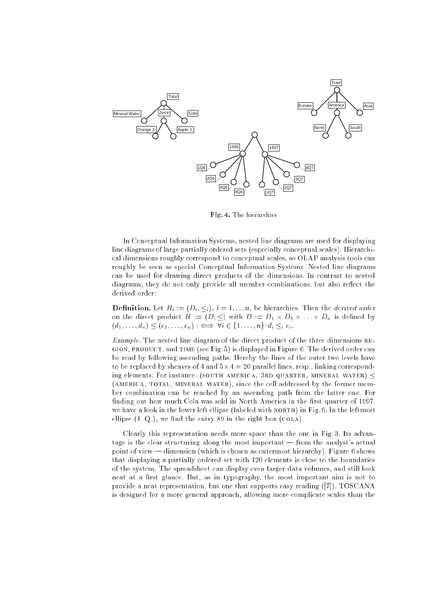

Fig. 4. The hierarchies

In Conceptual Information Systems, nested line diagrams are used for displaying line diagrams of large partially ordered sets (especially conceptual scales). Hierarchical dimensions roughly correspond to conceptual scales, so OLAP analysis tools can roughly be seen as special Conceptual Information Systems. Nested line diagrams can be used for drawing direct products of the dimensions. In contrast to nested diagrams, they do not only provide all member combinations, but also reflect the derived order:

 $\blacksquare$  decreases are the distribution. In the derived order than the derived order than the derived order on the direct product H  $\sim$  (D)  $\sim$  (D) with D  $\sim$  D  $\sim$  D  $\sim$  D  $\sim$  D  $\sim$  D  $\sim$  D  $\sim$  D  $\sim$ (distribution of  $\{d\}$  ) is the set of  $\{d\}$  . The interaction of  $\{d\}$  is a set of  $\{d\}$ 

Example. The nested line diagram of the direct product of the three dimensions  $RE$ gion, product, and time (see Fig. 5) is displayed in Figure 6. The derived order can be read by following ascending paths. Hereby the lines of the outer two levels have to be replaced by sheaves of 4 and 5-4 = 20 parallel lines, resp., linking corresponding elements. For instance, (SOUTH AMERICA, 3RD QUARTER, MINERAL WATER) < (AMERICA, TOTAL, MINERAL WATER), since the cell addressed by the former member combination can be reached by an ascending path from the latter one. For finding out how much Cola was sold in North America in the first quarter of 1997, we have a look in the lower left ellipse (labeled with NORTH) in Fig. 6. In the leftmost ellipse  $(1, Q)$ , we find the entry 89 in the right box  $(COLA)$ .

Clearly this representation needs more space than the one in Fig. 3. Its advantage is the clear structuring along the most important - from the analyst's actual point of view - dimension (which is chosen as outermost hierarchy). Figure 6 shows that displaying a partially ordered set with 120 elements is close to the boundaries of the system. The spreadsheet can display even larger data volumes, and still look neat at a first glance. But, as in typography, the most important aim is not to provide a neat representation, but one that supports easy reading ([7]). TOSCANA is designed for a more general approach, allowing more complicate scales than the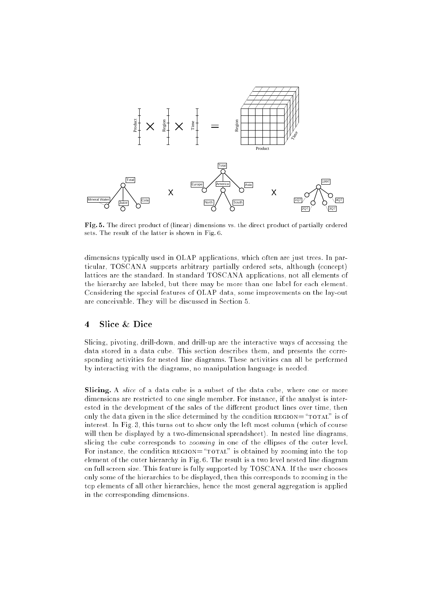

Fig. 5. The direct product of (linear) dimensions vs. the direct product of partially ordered sets. The result of the latter is shown in Fig. 6.

dimensions typically used in OLAP applications, which often are just trees. In particular, TOSCANA supports arbitrary partially ordered sets, although (concept) lattices are the standard. In standard TOSCANA applications, not all elements of the hierarchy are labeled, but there may be more than one label for each element. Considering the special features of OLAP data, some improvements on the lay-out are conceivable. They will be discussed in Section 5.

#### $\overline{\mathbf{4}}$ Slice & Dice

Slicing, pivoting, drill-down, and drill-up are the interactive ways of accessing the data stored in a data cube. This section describes them, and presents the corresponding activities for nested line diagrams. These activities can all be performed by interacting with the diagrams, no manipulation language is needed.

Slicing. A slice of a data cube is a subset of the data cube, where one or more dimensions are restricted to one single member. For instance, if the analyst is interested in the development of the sales of the different product lines over time, then only the data given in the slice determined by the condition  $\texttt{REGION} = \text{``TOTAL''}$  is of interest. In Fig. 3, this turns out to show only the left most column (which of course will then be displayed by a two-dimensional spreadsheet). In nested line diagrams, slicing the cube corresponds to *zooming* in one of the ellipses of the outer level. For instance, the condition  $\text{REGION} = \text{''TOTAL}''$  is obtained by zooming into the top element of the outer hierarchy in Fig. 6. The result is a two level nested line diagram on full screen size. This feature is fully supported by TOSCANA. If the user chooses only some of the hierarchies to be displayed, then this corresponds to zooming in the top elements of all other hierarchies, hence the most general aggregation is applied in the corresponding dimensions.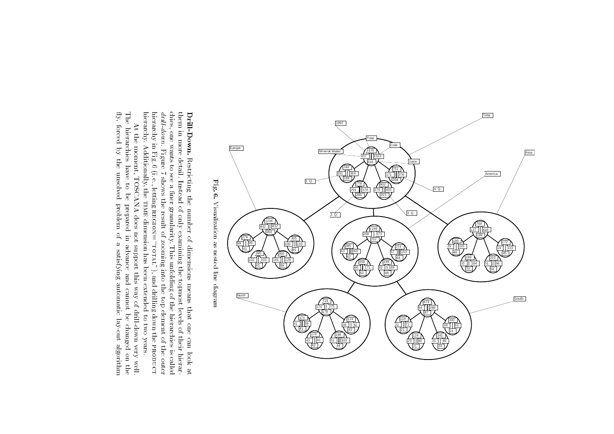

hierardhy. Additionally, the TIME dimension has been extended to two years. chies, one wants to see a finer granularity. This unfolding of the hierarchies is called drill-down. Figure 7 shows the result of zooming into the top element of the outer hierarchy in Fig. 6 (i. e., letting  $\text{REGION} = \text{``$ them in more detail. Instead of only examining the topmost levels of their hierarhierarchy in Fig. 6 (i. e., letting drive for a shows the result of the result of the results into the results of the outer of the outer of the outer chies, one wants to see a see a see a see a montre see a see a la called of the hierarchies is called of the h them in more detail. Instead of only examining the topmost levels of their hierar-Drill-Down. Restricting the number of dimensions means that one can look at Drill-Down. Restricting the number of the second control of the second control of the second control of the second control of the second control of the second control of the second control of the second control of the second control of the second con region=\total"), and drilling down the of dimensions means and means that one can product look at

 $\mathrm{fly},$ The hierarchies have to be y, The At the moment, TOSCANA does not support this way of drill-down very well. forced by the unsolved problem of At the moment, TOSCANA does not support the moment of drill-down very well-down very well-down very well-down very wellforced hierarchies l, the have un solved and a content of the content to l<br>C prepared in advance and cannot be changed on the problem prepared of in a satisfying automatic lay-out algorithm a advance and a second and satisfying and automatic cannot l<br>C lay-out changed in the second control of the control of the control of the control of the control of the control of the control of the control of the control of the control of the control of the control of the control of the contr algorithmon the

hierarchy. Additionally, the

time

dimension has been extended to two years.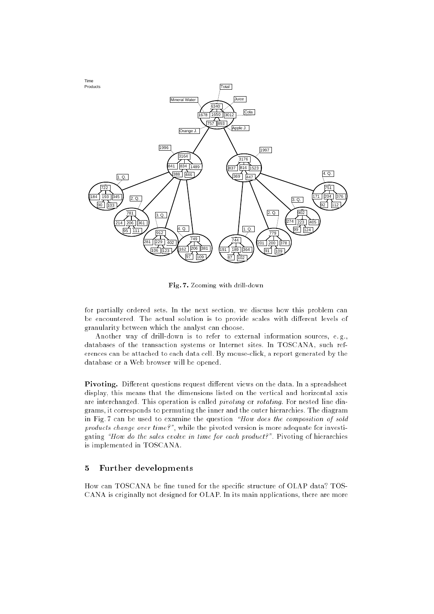

Fig. 7. Zooming with drill-down

for partially ordered sets. In the next section, we discuss how this problem can be encountered. The actual solution is to provide scales with different levels of granularity between which the analyst can choose.

Another way of drill-down is to refer to external information sources, e. g., databases of the transaction systems or Internet sites. In TOSCANA, such references can be attached to each data cell. By mouse-click, a report generated by the database or a Web browser will be opened.

Pivoting. Dierent questions request dierent views on the data. In a spreadsheet display, this means that the dimensions listed on the vertical and horizontal axis are interchanged. This operation is called *pivoting* or *rotating*. For nested line diagrams, it corresponds to permuting the inner and the outer hierarchies. The diagram in Fig. 7 can be used to examine the question  $How$  does the composition of sold products change over time?", while the pivoted version is more adequate for investigating "How do the sales evolve in time for each product?". Pivoting of hierarchies is implemented in TOSCANA.

#### $\overline{5}$ 5 Further developments

How can TOSCANA be fine tuned for the specific structure of OLAP data? TOS-CANA is originally not designed for OLAP. In its main applications, there are more